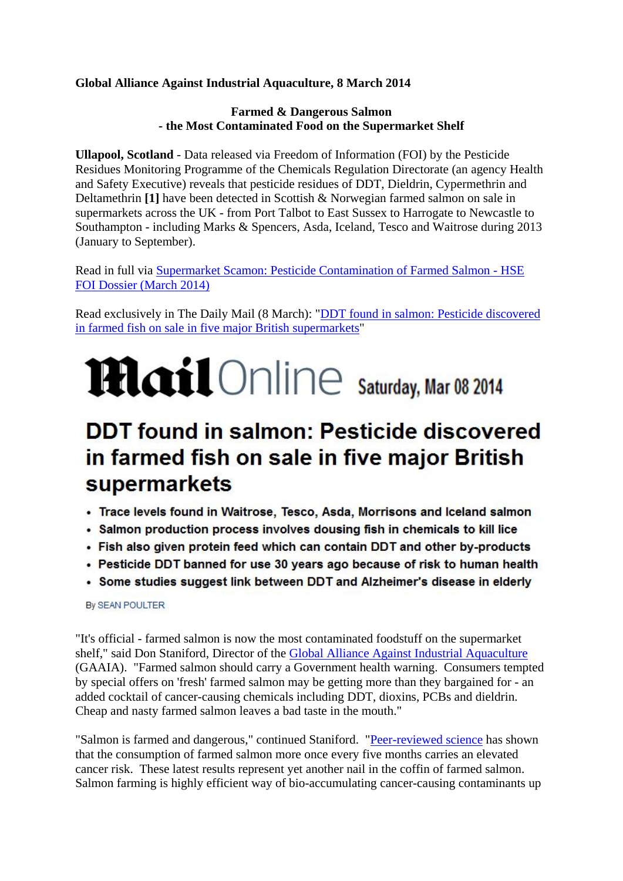### **Global Alliance Against Industrial Aquaculture, 8 March 2014**

#### **Farmed & Dangerous Salmon - the Most Contaminated Food on the Supermarket Shelf**

**Ullapool, Scotland** - Data released via Freedom of Information (FOI) by the Pesticide Residues Monitoring Programme of the Chemicals Regulation Directorate (an agency Health and Safety Executive) reveals that pesticide residues of DDT, Dieldrin, Cypermethrin and Deltamethrin **[1]** have been detected in Scottish & Norwegian farmed salmon on sale in supermarkets across the UK - from Port Talbot to East Sussex to Harrogate to Newcastle to Southampton - including Marks & Spencers, Asda, Iceland, Tesco and Waitrose during 2013 (January to September).

Read in full via [Supermarket Scamon: Pesticide Contamination of Farmed Salmon -](http://donstaniford.typepad.com/files/pesticides-residues-in-farmed-salmon---hse-foi-dossier-march-2014.pdf) HSE [FOI Dossier \(March 2014\)](http://donstaniford.typepad.com/files/pesticides-residues-in-farmed-salmon---hse-foi-dossier-march-2014.pdf)

Read exclusively in The Daily Mail (8 March): ["DDT found in salmon: Pesticide discovered](http://www.dailymail.co.uk/news/article-2576088/DDT-salmon-Pesticide-discovered-farmed-fish-sale-five-major-British-supermarkets.html)  [in farmed fish on sale in five major British supermarkets"](http://www.dailymail.co.uk/news/article-2576088/DDT-salmon-Pesticide-discovered-farmed-fish-sale-five-major-British-supermarkets.html)

# **Mail** Online Saturday, Mar 08 2014

## **DDT found in salmon: Pesticide discovered** in farmed fish on sale in five major British supermarkets

- . Trace levels found in Waitrose, Tesco, Asda, Morrisons and Iceland salmon
- Salmon production process involves dousing fish in chemicals to kill lice
- . Fish also given protein feed which can contain DDT and other by-products
- Pesticide DDT banned for use 30 years ago because of risk to human health
- Some studies suggest link between DDT and Alzheimer's disease in elderly

By SEAN POULTER

"It's official - farmed salmon is now the most contaminated foodstuff on the supermarket shelf," said Don Staniford, Director of the [Global Alliance Against Industrial Aquaculture](http://www.gaaia.org/) (GAAIA). "Farmed salmon should carry a Government health warning. Consumers tempted by special offers on 'fresh' farmed salmon may be getting more than they bargained for - an added cocktail of cancer-causing chemicals including DDT, dioxins, PCBs and dieldrin. Cheap and nasty farmed salmon leaves a bad taste in the mouth."

"Salmon is farmed and dangerous," continued Staniford. ["Peer-reviewed science](http://www.ncbi.nlm.nih.gov/pubmed/16198332) has shown that the consumption of farmed salmon more once every five months carries an elevated cancer risk. These latest results represent yet another nail in the coffin of farmed salmon. Salmon farming is highly efficient way of bio-accumulating cancer-causing contaminants up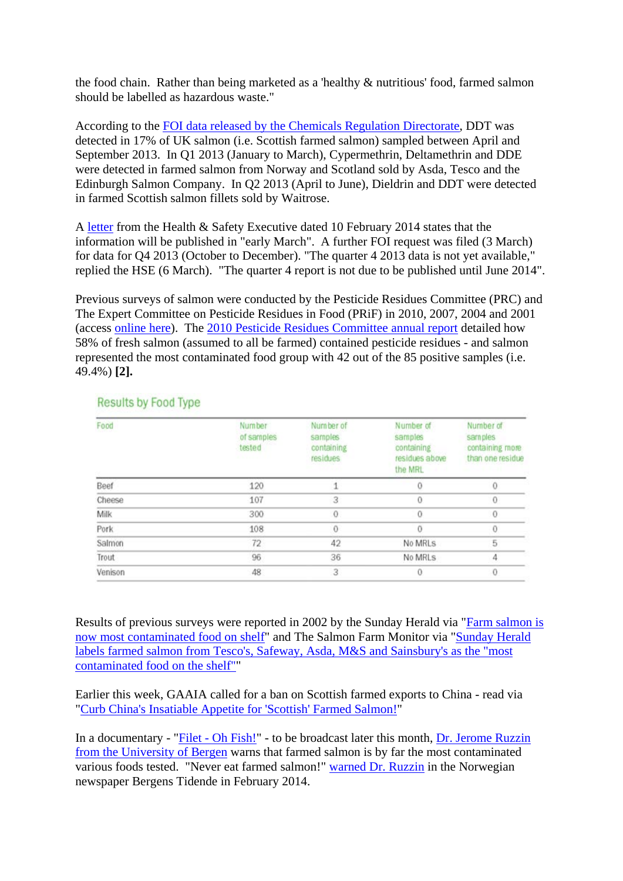the food chain. Rather than being marketed as a 'healthy & nutritious' food, farmed salmon should be labelled as hazardous waste."

According to the [FOI data released by the Chemicals Regulation Directorate,](http://donstaniford.typepad.com/files/pesticides-residues-in-farmed-salmon---hse-foi-dossier-march-2014.pdf) DDT was detected in 17% of UK salmon (i.e. Scottish farmed salmon) sampled between April and September 2013. In Q1 2013 (January to March), Cypermethrin, Deltamethrin and DDE were detected in farmed salmon from Norway and Scotland sold by Asda, Tesco and the Edinburgh Salmon Company. In Q2 2013 (April to June), Dieldrin and DDT were detected in farmed Scottish salmon fillets sold by Waitrose.

A [letter](http://donstaniford.typepad.com/files/hse-foi-reply-10-feb-2014.pdf) from the Health & Safety Executive dated 10 February 2014 states that the information will be published in "early March". A further FOI request was filed (3 March) for data for Q4 2013 (October to December). "The quarter 4 2013 data is not yet available," replied the HSE (6 March). "The quarter 4 report is not due to be published until June 2014".

Previous surveys of salmon were conducted by the Pesticide Residues Committee (PRC) and The Expert Committee on Pesticide Residues in Food (PRiF) in 2010, 2007, 2004 and 2001 (access [online here\)](http://www.pesticides.gov.uk/guidance/industries/pesticides/advisory-groups/PRiF/PRiF_Results_and_Reports/index-to-results-by-food-pesticide-residues). The [2010 Pesticide Residues Committee annual report](http://www.pesticides.gov.uk/Resources/CRD/Migrated-Resources/2010_Annua_Report.pdf) detailed how 58% of fresh salmon (assumed to all be farmed) contained pesticide residues - and salmon represented the most contaminated food group with 42 out of the 85 positive samples (i.e. 49.4%) **[2].**

| Food          | <b>Number</b><br>of samples<br>tested | Number of<br>samples<br>containing<br>residues | Number of<br>samples<br>containing<br>residues above<br>the MRL | Number of<br>samples<br>containing more<br>than one residue |
|---------------|---------------------------------------|------------------------------------------------|-----------------------------------------------------------------|-------------------------------------------------------------|
| Beef          | 120                                   |                                                |                                                                 |                                                             |
| <b>Cheese</b> | 107                                   | 3                                              | 0                                                               |                                                             |
| Milk          | 300                                   | $\Omega$                                       | Õ                                                               |                                                             |
| Pork          | 108                                   | $\ddot{0}$                                     |                                                                 |                                                             |
| Salmon        | 72                                    | 42                                             | No MRLs                                                         | 5                                                           |
| Trout         | 96                                    | 36                                             | No MRLS                                                         |                                                             |
| Venison       | 48                                    | 3                                              |                                                                 |                                                             |

### **Results by Food Type**

Results of previous surveys were reported in 2002 by the Sunday Herald via ["Farm salmon is](http://www.eurocbc.org/page223.html)  [now most contaminated food on shelf"](http://www.eurocbc.org/page223.html) and The Salmon Farm Monitor via ["Sunday Herald](http://www.salmonfarmmonitor.org/pr201002.shtml)  [labels farmed salmon from Tesco's, Safeway, Asda, M&S and Sainsbury's as the "most](http://www.salmonfarmmonitor.org/pr201002.shtml)  [contaminated food on the shelf""](http://www.salmonfarmmonitor.org/pr201002.shtml)

Earlier this week, GAAIA called for a ban on Scottish farmed exports to China - read via ["Curb China's Insatiable Appetite for 'Scottish' Farmed Salmon!"](http://salmonfarmingkills.com/blog/curb-chinas-insatiable-appetite-scottish-farmed-salmon)

In a documentary - "Filet - [Oh Fish!"](https://www.youtube.com/watch?v=ag0Y9xCatM8#t=131) - to be broadcast later this month, [Dr. Jerome Ruzzin](http://www.uib.no/persons/Jerome.Ruzzin)  [from the University of Bergen](http://www.uib.no/persons/Jerome.Ruzzin) warns that farmed salmon is by far the most contaminated various foods tested. "Never eat farmed salmon!" [warned Dr. Ruzzin](http://www.bt.no/nyheter/lokalt/article3058672.ece) in the Norwegian newspaper Bergens Tidende in February 2014.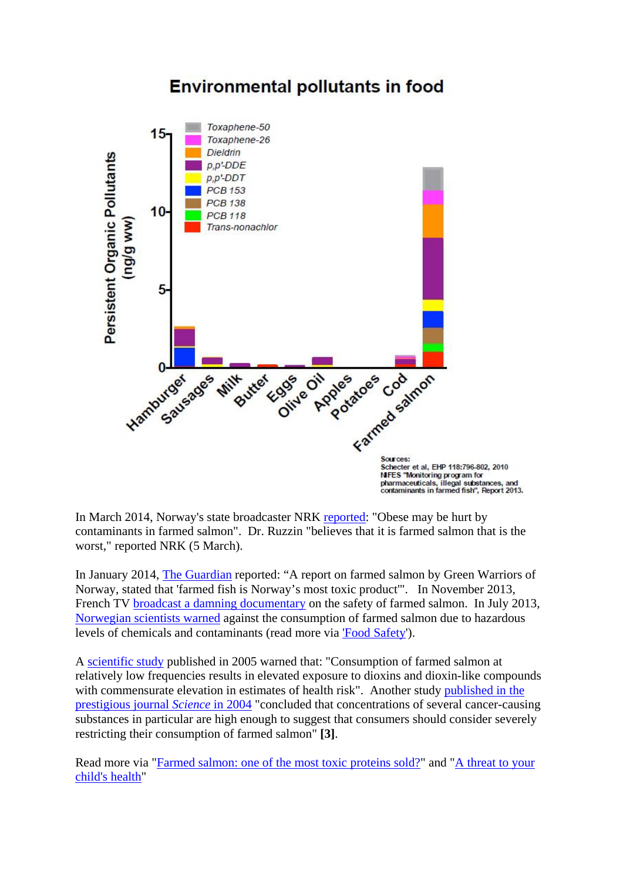

## **Environmental pollutants in food**

In March 2014, Norway's state broadcaster NRK [reported:](http://www.nrk.no/hordaland/_-overvektige-kan-ta-skade-av-laks-1.11585509) "Obese may be hurt by contaminants in farmed salmon". Dr. Ruzzin "believes that it is farmed salmon that is the worst," reported NRK (5 March).

In January 2014, [The Guardian](http://www.protectwildscotland.org/salmon/salmon-news/farmed-fish-is-norways-most-toxic-product/) reported: "A report on farmed salmon by Green Warriors of Norway, stated that 'farmed fish is Norway's most toxic product'". In November 2013, French TV [broadcast a damning documentary](http://www.france2.fr/emissions/envoye-special/poisson-elevage-en-eaux-troubles_142763) on the safety of farmed salmon. In July 2013, [Norwegian scientists warned](http://articles.mercola.com/sites/articles/archive/2013/07/09/farmed-salmon-dangers.aspx) against the consumption of farmed salmon due to hazardous levels of chemicals and contaminants (read more via ['Food Safety'\)](http://www.protectwildscotland.org/salmon-farms/food-safety/).

A [scientific study](http://www.ncbi.nlm.nih.gov/pmc/articles/PMC1257546/) published in 2005 warned that: "Consumption of farmed salmon at relatively low frequencies results in elevated exposure to dioxins and dioxin-like compounds with commensurate elevation in estimates of health risk". Another study [published in the](http://www.albany.edu/ihe/salmonstudy/pressrelease.html)  [prestigious journal](http://www.albany.edu/ihe/salmonstudy/pressrelease.html) *Science* in 2004 "concluded that concentrations of several cancer-causing substances in particular are high enough to suggest that consumers should consider severely restricting their consumption of farmed salmon" **[3]**.

Read more via ["Farmed salmon: one of the most toxic proteins sold?"](http://www.alexandramorton.ca/) and "A threat to your [child's health"](http://www.alexandramorton.ca/threat-to-your-childs-health/)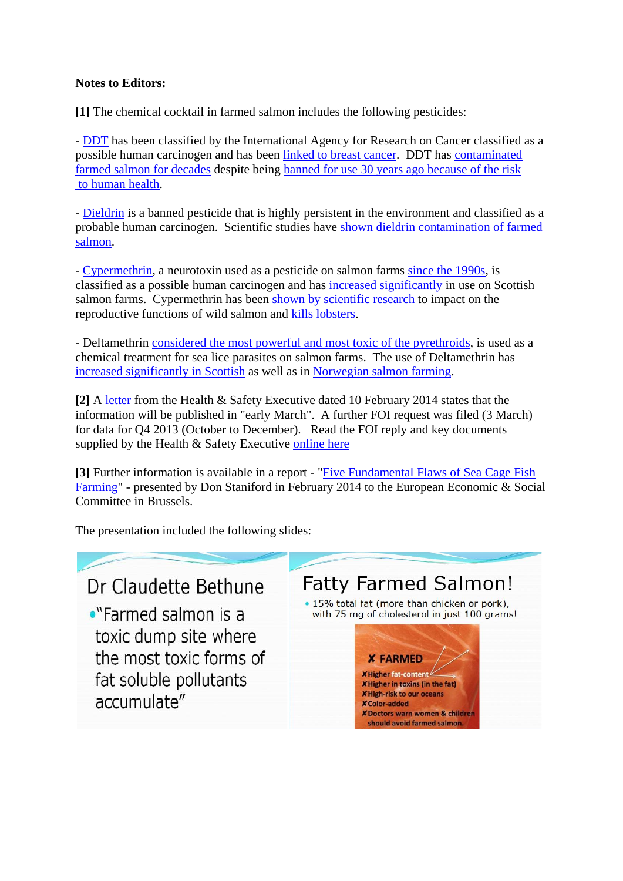#### **Notes to Editors:**

**[1]** The chemical cocktail in farmed salmon includes the following pesticides:

- [DDT](http://envirocancer.cornell.edu/FactSheet/Pesticide/fs2.ddt.cfm) has been classified by the International Agency for Research on Cancer classified as a possible human carcinogen and has been [linked to breast cancer.](http://www.sciencedaily.com/releases/2007/10/071009082406.htm) DDT has [contaminated](http://www.salmonfarmmonitor.org/pr201002.shtml)  [farmed salmon for decades](http://www.salmonfarmmonitor.org/pr201002.shtml) despite being [banned for use 30 years ago because of the risk](http://www.dailymail.co.uk/news/article-2576088/DDT-salmon-Pesticide-discovered-farmed-fish-sale-five-major-British-supermarkets.html) [to human health.](http://www.dailymail.co.uk/news/article-2576088/DDT-salmon-Pesticide-discovered-farmed-fish-sale-five-major-British-supermarkets.html)

- [Dieldrin](http://www.albany.edu/ihe/salmonstudy/contaminants.html) is a banned pesticide that is highly persistent in the environment and classified as a probable human carcinogen. Scientific studies have [shown dieldrin contamination of farmed](http://www.puresalmon.org/pdfs/Huang_et_al_Environmental_Research.pdf)  [salmon.](http://www.puresalmon.org/pdfs/Huang_et_al_Environmental_Research.pdf)

- [Cypermethrin,](http://npic.orst.edu/factsheets/cypermethrin.pdf) a neurotoxin used as a pesticide on salmon farms [since the 1990s,](http://www.independent.co.uk/environment/scottish-salmon-farming-revolution-that-has-left-the-seas-awash-with-toxic-chemicals-634093.html) is classified as a possible human carcinogen and has [increased significantly](http://www.theguardian.com/news/datablog/2012/sep/10/scottish-fishing-farm-chemicals) in use on Scottish salmon farms. Cypermethrin has been [shown by scientific research](http://www.ncbi.nlm.nih.gov/pubmed/11163426) to impact on the reproductive functions of wild salmon and [kills lobsters.](http://www.cbc.ca/news/canada/new-brunswick/fish-farm-charged-in-connection-with-lobster-deaths-1.1096392)

- Deltamethrin [considered the most powerful and most toxic of the pyrethroids,](http://www.toxipedia.org/display/toxipedia/Deltamethrin) is used as a chemical treatment for sea lice parasites on salmon farms. The use of Deltamethrin has [increased significantly in Scottish](http://www.theguardian.com/news/datablog/2012/sep/10/scottish-fishing-farm-chemicals) as well as in [Norwegian salmon farming.](http://www.fhi.no/eway/default.aspx?pid=239&trg=Area_7064&Main_6157=6263:0:25,6183&MainContent_6263=7064:0:25,6183&Area_7064=6178:109432::0:7065:1:::0:0)

**[2]** A [letter](http://donstaniford.typepad.com/files/hse-foi-reply-10-feb-2014.pdf) from the Health & Safety Executive dated 10 February 2014 states that the information will be published in "early March". A further FOI request was filed (3 March) for data for Q4 2013 (October to December). Read the FOI reply and key documents supplied by the Health & Safety Executive [online here](http://donstaniford.typepad.com/scotlands_salmon_sellouts/2014/03/pesticide-residues-in-farmed-salmon-hse-foi-reply-february-2014.html) 

**[3]** Further information is available in a report - ["Five Fundamental Flaws of Sea Cage Fish](http://donstaniford.typepad.com/my-blog/2014/02/european-presentation-now-online.html)  [Farming"](http://donstaniford.typepad.com/my-blog/2014/02/european-presentation-now-online.html) - presented by Don Staniford in February 2014 to the European Economic & Social Committee in Brussels.

The presentation included the following slides:

## Dr Claudette Bethune

•"Farmed salmon is a toxic dump site where the most toxic forms of fat soluble pollutants accumulate"

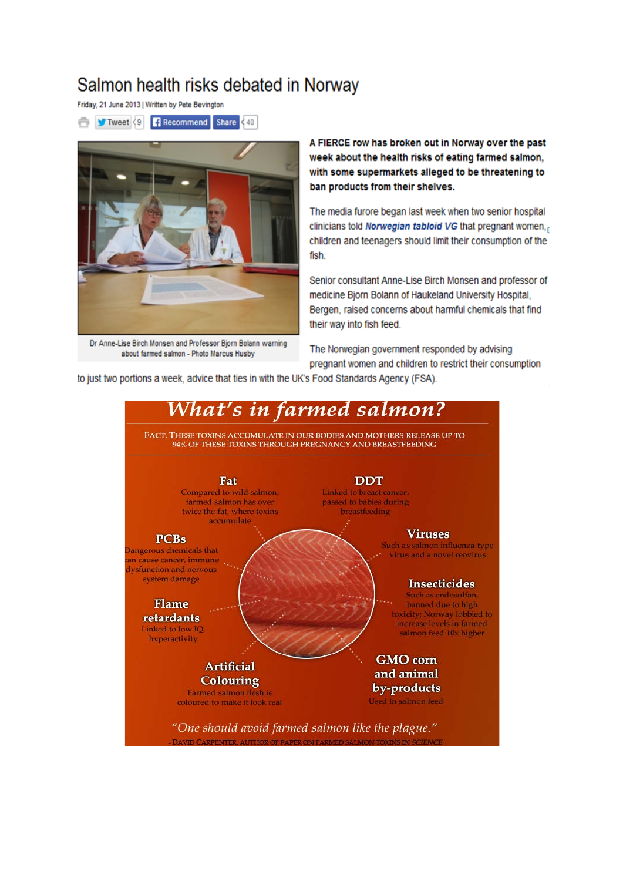## Salmon health risks debated in Norway

Friday, 21 June 2013 | Written by Pete Bevington





Dr Anne-Lise Birch Monsen and Professor Bjorn Bolann warning about farmed salmon - Photo Marcus Husby

A FIERCE row has broken out in Norway over the past week about the health risks of eating farmed salmon. with some supermarkets alleged to be threatening to ban products from their shelves.

The media furore began last week when two senior hospital clinicians told Norwegian tabloid VG that pregnant women. children and teenagers should limit their consumption of the fish.

Senior consultant Anne-Lise Birch Monsen and professor of medicine Bjorn Bolann of Haukeland University Hospital, Bergen, raised concerns about harmful chemicals that find their way into fish feed.

The Norwegian government responded by advising pregnant women and children to restrict their consumption

to just two portions a week, advice that ties in with the UK's Food Standards Agency (FSA).

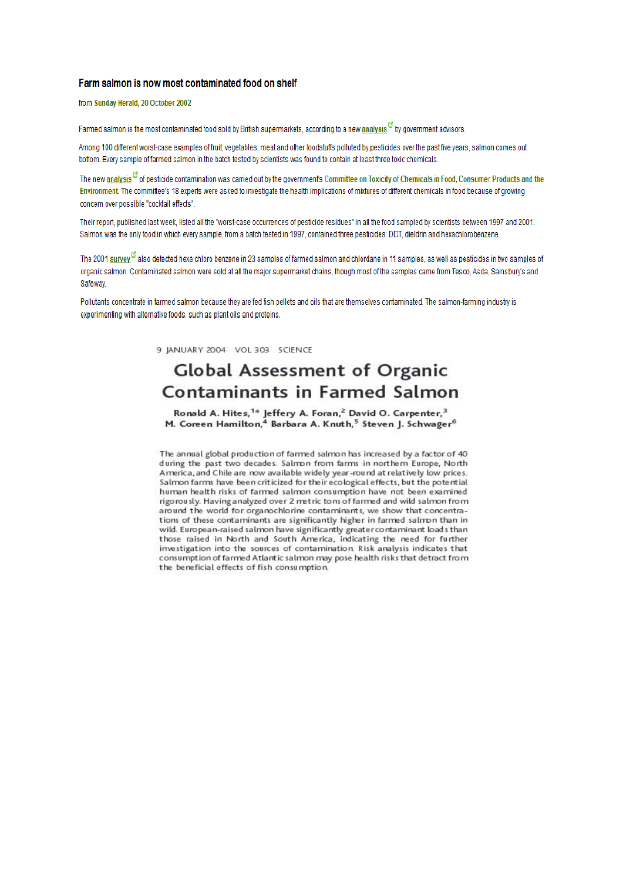#### Farm salmon is now most contaminated food on shelf

from Sunday Herald, 20 October 2002

Farmed salmon is the most contaminated food sold by British supermarkets, according to a new analysis  $^\mathcal{G}$  by government advisors.

Among 100 different worst-case examples of fruit, vegetables, meat and other foodstuffs polluted by pesticides over the past five years, salmon comes out bottom. Every sample of farmed salmon in the batch tested by scientists was found to contain at least three toxic chemicals.

The new analysis <sup>of</sup> of pesticide contamination was carried out by the government's Committee on Toxicity of Chemicals in Food. Consumer Products and the Environment. The committee's 18 experts were asked to investigate the health implications of mixtures of different chemicals in food because of growing concern over possible "cocktail effects".

Their report, published last week, listed all the "worst-case occurrences of pesticide residues" in all the food sampled by scientists between 1997 and 2001. Salmon was the only food in which every sample, from a batch tested in 1997, contained three pesticides: DDT, dieldrin and hexachlorobenzene.

The 2001 survey  $^{\rm G}$  also detected hexa chloro benzene in 23 samples of farmed salmon and chlordane in 11 samples, as well as pesticides in two samples of organic salmon. Contaminated salmon were sold at all the maior supermarket chains, though most of the samples came from Tesco. Asda, Sainsbury's and Safeway.

Pollutants concentrate in farmed salmon because they are fed fish pellets and oils that are themselves contaminated. The salmon-farming industry is experimenting with alternative foods, such as plant oils and proteins.

9 JANUARY 2004 VOL 303 SCIENCE

## **Global Assessment of Organic Contaminants in Farmed Salmon**

Ronald A. Hites,<sup>1\*</sup> Jeffery A. Foran,<sup>2</sup> David O. Carpenter,<sup>3</sup> M. Coreen Hamilton,<sup>4</sup> Barbara A. Knuth,<sup>5</sup> Steven J. Schwager<sup>6</sup>

The annual global production of farmed salmon has increased by a factor of 40 during the past two decades. Salmon from farms in northern Europe, North America, and Chile are now available widely year-round at relatively low prices. Salmon farms have been criticized for their ecological effects, but the potential human health risks of farmed salmon consumption have not been examined rigorously. Having analyzed over 2 metric tons of farmed and wild salmon from around the world for organochlorine contaminants, we show that concentrations of these contaminants are significantly higher in farmed salmon than in wild. European-raised salmon have significantly greater contaminant loads than those raised in North and South America, indicating the need for further investigation into the sources of contamination. Risk analysis indicates that consumption of farmed Atlantic salmon may pose health risks that detract from the beneficial effects of fish consumption.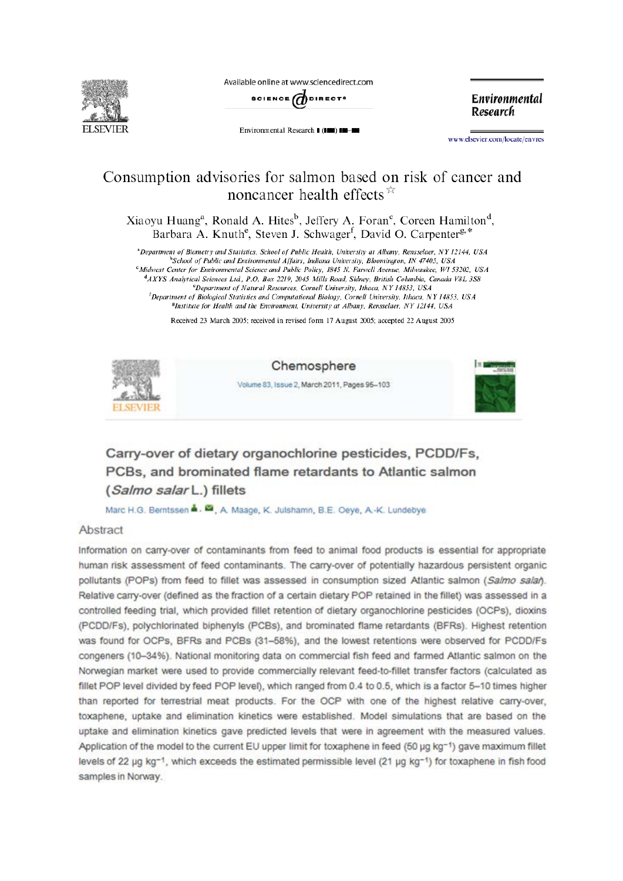

Available online at www.sciencedirect.com



Environmental Research | (III) III-III

**Environmental** Research

www.elsevier.com/locate/envres

## Consumption advisories for salmon based on risk of cancer and noncancer health effects  $\overrightarrow{r}$

Xiaoyu Huang<sup>a</sup>, Ronald A. Hites<sup>b</sup>, Jeffery A. Foran<sup>c</sup>, Coreen Hamilton<sup>d</sup>, Barbara A. Knuth<sup>e</sup>, Steven J. Schwager<sup>f</sup>, David O. Carpenter<sup>g,\*</sup>

<sup>a</sup>Department of Biometry and Statistics, School of Public Health, University at Albany, Rensselaer, NY 12144, USA <sup>b</sup>School of Public and Environmental Affairs, Indiana University, Bloomington, IN 47405, USA <sup>c</sup>Midwest Center for Environmental Science and Public Policy, 1845 N. Farwell Avenue, Milwaukee, WI 53202, USA <sup>d</sup>AXYS Analytical Sciences Ltd, P.O. Box 2219, 2045 Mills Road, Sidney, British Columbia, Canada V8L 3S8 <sup>e</sup>Department of Natural Resources, Cornell University, Ithaca, NY 14853, USA <sup>f</sup>Department of Biological Statistics and Computational Biology, Cornell University, Ithaca, NY 14853, USA <sup>8</sup>Institute for Health and the Environment, University at Albany, Rensselaer, NY 12144, USA

Received 23 March 2005; received in revised form 17 August 2005; accepted 22 August 2005



Chemosphere

Volume 83, Issue 2, March 2011, Pages 95-103



## Carry-over of dietary organochlorine pesticides, PCDD/Fs. PCBs, and brominated flame retardants to Atlantic salmon (Salmo salar L.) fillets

Marc H.G. Bemtssen &. M., A. Maage, K. Julshamn, B.E. Oeye, A.-K. Lundebye

#### Abstract

Information on carry-over of contaminants from feed to animal food products is essential for appropriate human risk assessment of feed contaminants. The carry-over of potentially hazardous persistent organic pollutants (POPs) from feed to fillet was assessed in consumption sized Atlantic salmon (Salmo salañ. Relative carry-over (defined as the fraction of a certain dietary POP retained in the fillet) was assessed in a controlled feeding trial, which provided fillet retention of dietary organochlorine pesticides (OCPs), dioxins (PCDD/Fs), polychlorinated biphenyls (PCBs), and brominated flame retardants (BFRs). Highest retention was found for OCPs, BFRs and PCBs (31-58%), and the lowest retentions were observed for PCDD/Fs congeners (10-34%). National monitoring data on commercial fish feed and farmed Atlantic salmon on the Norwegian market were used to provide commercially relevant feed-to-fillet transfer factors (calculated as fillet POP level divided by feed POP level), which ranged from 0.4 to 0.5, which is a factor 5-10 times higher than reported for terrestrial meat products. For the OCP with one of the highest relative carry-over, toxaphene, uptake and elimination kinetics were established. Model simulations that are based on the uptake and elimination kinetics gave predicted levels that were in agreement with the measured values. Application of the model to the current EU upper limit for toxaphene in feed (50 µg kg-1) gave maximum fillet levels of 22 µg kg-1, which exceeds the estimated permissible level (21 µg kg-1) for toxaphene in fish food samples in Norway.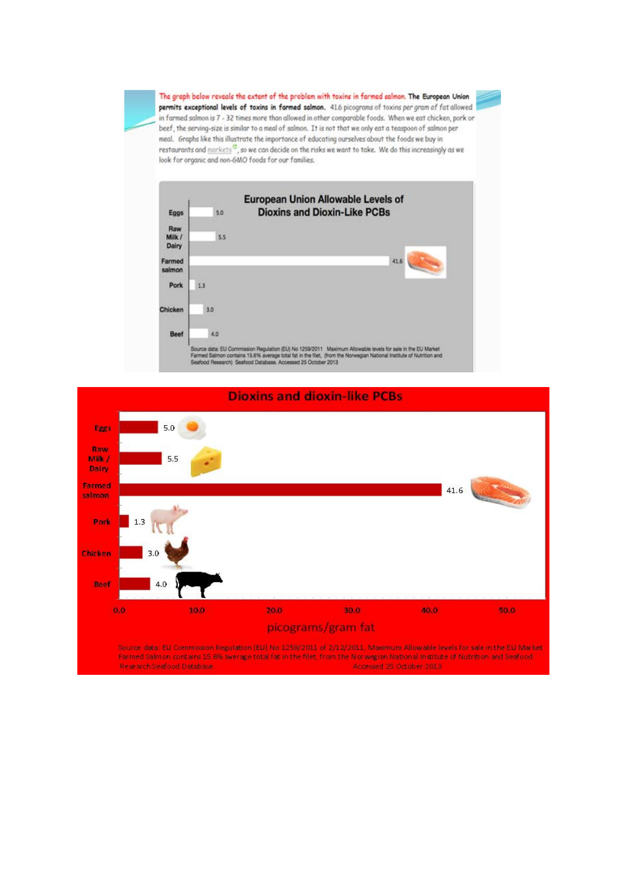The graph below reveals the extent of the problem with toxins in farmed salmon. The European Union permits exceptional levels of toxins in farmed salmon. 41.6 picograms of toxins per gram of fat allowed in farmed salmon is 7 - 32 times more than allowed in other comparable foods. When we eat chicken, pork or beef, the serving-size is similar to a meal of salmon. It is not that we only eat a teaspoon of salmon per meal. Graphs like this illustrate the importance of educating ourselves about the foods we buy in restaurants and markets<sup>13</sup>, so we can decide on the risks we want to take. We do this increasingly as we look for organic and non-GMO foods for our families.